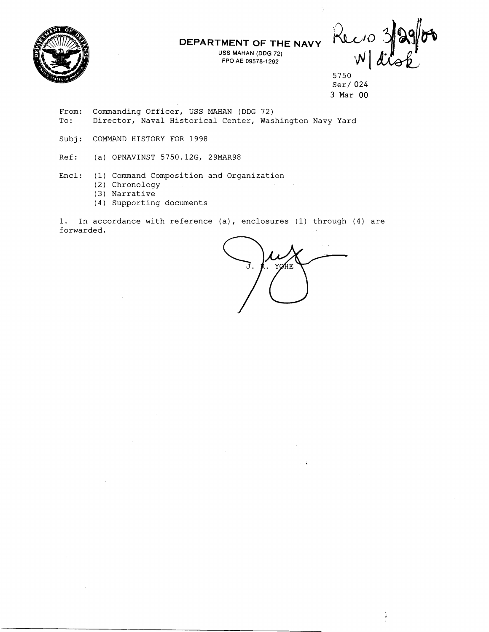

**USS MAHAN (DDG 72) FPO A€ 09578-1292** 

DEPARTMENT OF THE NAVY Rec 10 3/2

5750 Ser/024 **3 Mar** 00

- From: Commanding Officer, USS MAHAN (DDG 72) To: Director, Naval Historical Center, Washington Navy Yard
- Subj: COMMAND HISTORY FOR 1998
- Ref: (a) OPNAVINST 5750.12G, 29MAR98
- Encl: (1) Command Composition and Organization
	- (2) Chronology
	- (3) Narrative
	- (4) Supporting documents

1. In accordance with reference (a), enclosures (1) through (4) are forwarded.

YOHE.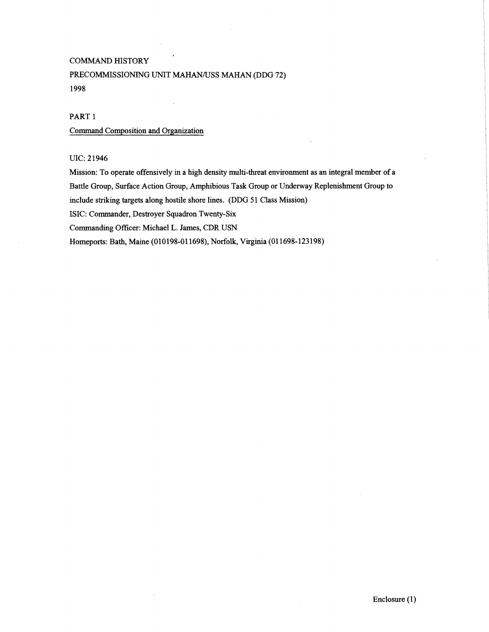#### COMMAND HISTORY

#### PRECOMMISSIONING UNIT MAHAN/USS MAHAN (DDG 72) 1998

#### PART 1

#### Command Composition and Organization

#### UIC: 2 1946

Mission: To operate offensively in a high density multi-threat environment as an integral member of a Battle Group, Surface Action Group, Amphbious Task Group or Underway Replenishment Group to include striking targets along hostile shore lines. (DDG 51 Class Mission) ISIC: Commander, Destroyer Squadron Twenty-Six

Commanding Officer: Michael L. James, CDR USN

Homeports: Bath, Maine (010198-01 1698), Norfolk, Virginia (01 1698-123198)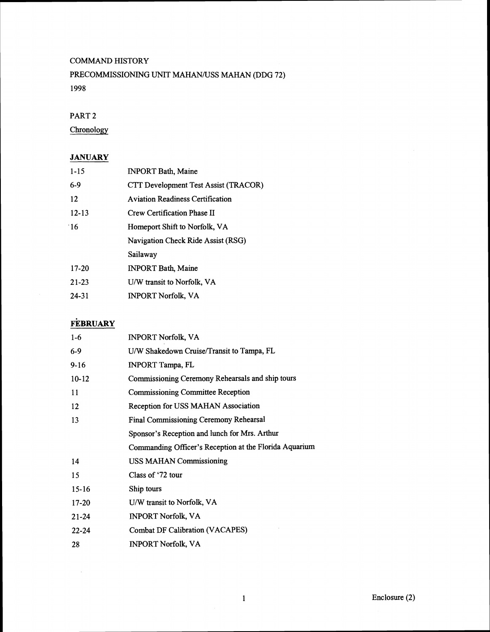#### COMMAND HISTORY

## PRECOMMISSIONING UNIT MAHAN/USS MAHAN (DDG 72) 1998

#### PART 2

**Chronology** 

## **JANUARY**

| $1 - 15$  | <b>INPORT Bath, Maine</b>               |  |
|-----------|-----------------------------------------|--|
| $6-9$     | CTT Development Test Assist (TRACOR)    |  |
| 12        | <b>Aviation Readiness Certification</b> |  |
| $12 - 13$ | Crew Certification Phase II             |  |
| 16        | Homeport Shift to Norfolk, VA           |  |
|           | Navigation Check Ride Assist (RSG)      |  |
|           | Sailaway                                |  |
| $17-20$   | <b>INPORT Bath, Maine</b>               |  |
| $21 - 23$ | U/W transit to Norfolk, VA              |  |
| $24 - 31$ | <b>INPORT Norfolk, VA</b>               |  |
|           |                                         |  |

# **FEBRUARY**

 $\mathcal{A}$ 

| $1-6$     | <b>INPORT Norfolk, VA</b>                              |  |
|-----------|--------------------------------------------------------|--|
| 6-9       | U/W Shakedown Cruise/Transit to Tampa, FL              |  |
| $9-16$    | <b>INPORT Tampa, FL</b>                                |  |
| $10-12$   | Commissioning Ceremony Rehearsals and ship tours       |  |
| 11        | <b>Commissioning Committee Reception</b>               |  |
| 12        | Reception for USS MAHAN Association                    |  |
| 13        | Final Commissioning Ceremony Rehearsal                 |  |
|           | Sponsor's Reception and lunch for Mrs. Arthur          |  |
|           | Commanding Officer's Reception at the Florida Aquarium |  |
| 14        | <b>USS MAHAN Commissioning</b>                         |  |
| 15        | Class of '72 tour                                      |  |
| $15-16$   | Ship tours                                             |  |
| 17-20     | U/W transit to Norfolk, VA                             |  |
| $21 - 24$ | <b>INPORT Norfolk, VA</b>                              |  |
| $22 - 24$ | <b>Combat DF Calibration (VACAPES)</b>                 |  |
| 28        | <b>INPORT Norfolk, VA</b>                              |  |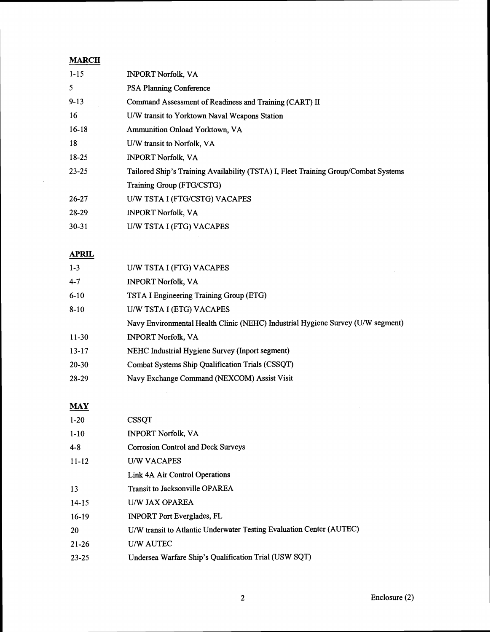### **MARCH**

| $1 - 15$  | <b>INPORT Norfolk, VA</b>                                                           |  |
|-----------|-------------------------------------------------------------------------------------|--|
| 5         | <b>PSA Planning Conference</b>                                                      |  |
| $9 - 13$  | Command Assessment of Readiness and Training (CART) II                              |  |
| 16        | U/W transit to Yorktown Naval Weapons Station                                       |  |
| $16-18$   | Ammunition Onload Yorktown, VA                                                      |  |
| 18        | U/W transit to Norfolk, VA                                                          |  |
| 18-25     | <b>INPORT Norfolk, VA</b>                                                           |  |
| $23 - 25$ | Tailored Ship's Training Availability (TSTA) I, Fleet Training Group/Combat Systems |  |
|           | Training Group (FTG/CSTG)                                                           |  |
| 26-27     | U/W TSTA I (FTG/CSTG) VACAPES                                                       |  |
| 28-29     | <b>INPORT Norfolk, VA</b>                                                           |  |
| $30 - 31$ | U/W TSTA I (FTG) VACAPES                                                            |  |

## **APRIL**

| $1 - 3$   | U/W TSTA I (FTG) VACAPES                                                        |  |
|-----------|---------------------------------------------------------------------------------|--|
| $4 - 7$   | <b>INPORT Norfolk, VA</b>                                                       |  |
| $6 - 10$  | TSTA I Engineering Training Group (ETG)                                         |  |
| $8 - 10$  | U/W TSTA I (ETG) VACAPES                                                        |  |
|           | Navy Environmental Health Clinic (NEHC) Industrial Hygiene Survey (U/W segment) |  |
| $11 - 30$ | <b>INPORT Norfolk, VA</b>                                                       |  |
| $13 - 17$ | NEHC Industrial Hygiene Survey (Inport segment)                                 |  |
| $20 - 30$ | Combat Systems Ship Qualification Trials (CSSQT)                                |  |
| 28-29     | Navy Exchange Command (NEXCOM) Assist Visit                                     |  |
|           |                                                                                 |  |

## MAY

| $1 - 20$  | <b>CSSQT</b>                                                         |
|-----------|----------------------------------------------------------------------|
| $1 - 10$  | <b>INPORT Norfolk, VA</b>                                            |
| $4 - 8$   | <b>Corrosion Control and Deck Surveys</b>                            |
| $11 - 12$ | <b>U/W VACAPES</b>                                                   |
|           | Link 4A Air Control Operations                                       |
| 13        | <b>Transit to Jacksonville OPAREA</b>                                |
| $14 - 15$ | <b>U/W JAX OPAREA</b>                                                |
| $16-19$   | <b>INPORT Port Everglades, FL</b>                                    |
| 20        | U/W transit to Atlantic Underwater Testing Evaluation Center (AUTEC) |
| $21 - 26$ | <b>U/W AUTEC</b>                                                     |
| $23 - 25$ | Undersea Warfare Ship's Qualification Trial (USW SQT)                |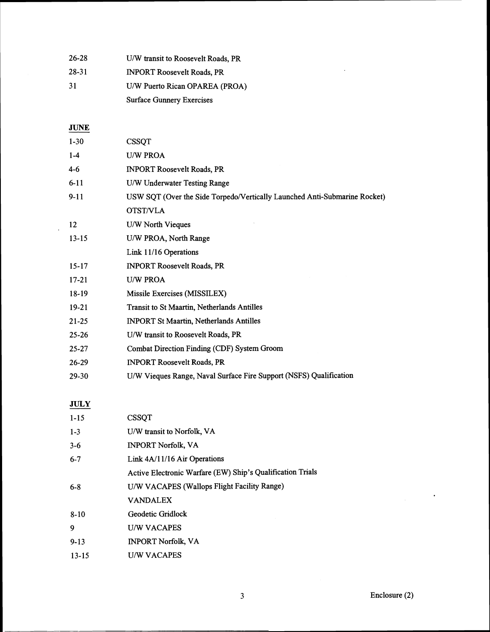| 26-28 | U/W transit to Roosevelt Roads, PR |  |
|-------|------------------------------------|--|
| 28-31 | <b>INPORT Roosevelt Roads, PR</b>  |  |
| 31    | U/W Puerto Rican OPAREA (PROA)     |  |
|       | <b>Surface Gunnery Exercises</b>   |  |

**JUNE** 

| $1 - 30$  | <b>CSSQT</b>                                                              |
|-----------|---------------------------------------------------------------------------|
| $1 - 4$   | <b>U/W PROA</b>                                                           |
| $4 - 6$   | <b>INPORT Roosevelt Roads, PR</b>                                         |
|           |                                                                           |
| $6 - 11$  | U/W Underwater Testing Range                                              |
| $9 - 11$  | USW SQT (Over the Side Torpedo/Vertically Launched Anti-Submarine Rocket) |
|           | <b>OTST/VLA</b>                                                           |
| 12        | U/W North Vieques                                                         |
| $13 - 15$ | U/W PROA, North Range                                                     |
|           | Link 11/16 Operations                                                     |
| $15 - 17$ | <b>INPORT Roosevelt Roads, PR</b>                                         |
| $17 - 21$ | <b>U/W PROA</b>                                                           |
| $18-19$   | Missile Exercises (MISSILEX)                                              |
| $19-21$   | Transit to St Maartin, Netherlands Antilles                               |
| $21 - 25$ | <b>INPORT St Maartin, Netherlands Antilles</b>                            |
| $25 - 26$ | U/W transit to Roosevelt Roads, PR                                        |
| $25 - 27$ | Combat Direction Finding (CDF) System Groom                               |
| $26 - 29$ | <b>INPORT Roosevelt Roads, PR</b>                                         |
| 29-30     | U/W Vieques Range, Naval Surface Fire Support (NSFS) Qualification        |
|           |                                                                           |

## **JULY**

| <b>CSSQT</b>                                               |
|------------------------------------------------------------|
| U/W transit to Norfolk, VA                                 |
| <b>INPORT Norfolk, VA</b>                                  |
| Link 4A/11/16 Air Operations                               |
| Active Electronic Warfare (EW) Ship's Qualification Trials |
| U/W VACAPES (Wallops Flight Facility Range)                |
| <b>VANDALEX</b>                                            |
| Geodetic Gridlock                                          |
| <b>U/W VACAPES</b>                                         |
| <b>INPORT Norfolk, VA</b>                                  |
| <b>U/W VACAPES</b>                                         |
|                                                            |

 $\label{eq:2.1} \frac{1}{\sqrt{2\pi}}\int_{0}^{\infty}\frac{1}{\sqrt{2\pi}}\left(\frac{1}{\sqrt{2\pi}}\right)^{2}d\mu_{\rm{eff}}\,.$ 

 $\mathcal{A}^{\mathcal{A}}$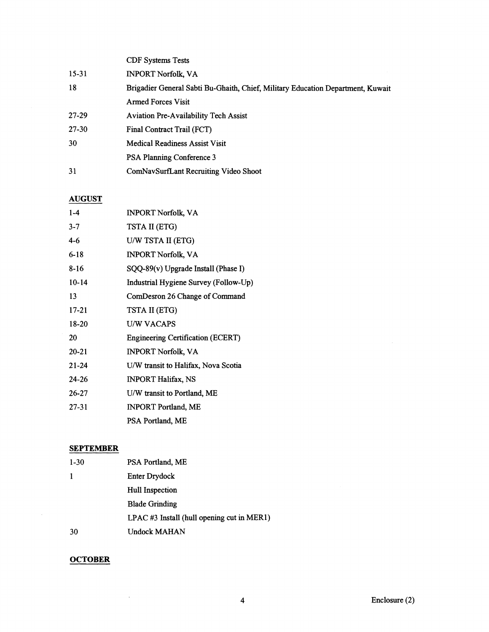|       | <b>CDF</b> Systems Tests                                                        |
|-------|---------------------------------------------------------------------------------|
| 15-31 | <b>INPORT Norfolk, VA</b>                                                       |
| 18    | Brigadier General Sabti Bu-Ghaith, Chief, Military Education Department, Kuwait |
|       | <b>Armed Forces Visit</b>                                                       |
| 27-29 | <b>Aviation Pre-Availability Tech Assist</b>                                    |
| 27-30 | Final Contract Trail (FCT)                                                      |
| 30    | Medical Readiness Assist Visit                                                  |
|       | <b>PSA Planning Conference 3</b>                                                |
| 31    | ComNavSurfLant Recruiting Video Shoot                                           |

#### **AUGUST**

| $1 - 4$   | <b>INPORT Norfolk, VA</b>             |  |
|-----------|---------------------------------------|--|
| $3 - 7$   | TSTA II (ETG)                         |  |
| $4 - 6$   | U/W TSTA II (ETG)                     |  |
| $6 - 18$  | <b>INPORT Norfolk, VA</b>             |  |
| $8-16$    | $SQQ-89(v)$ Upgrade Install (Phase I) |  |
| $10-14$   | Industrial Hygiene Survey (Follow-Up) |  |
| 13        | ComDesron 26 Change of Command        |  |
| 17-21     | TSTA II (ETG)                         |  |
| 18-20     | <b>U/W VACAPS</b>                     |  |
| 20        | Engineering Certification (ECERT)     |  |
| $20 - 21$ | <b>INPORT Norfolk, VA</b>             |  |
| $21 - 24$ | U/W transit to Halifax, Nova Scotia   |  |
| $24 - 26$ | <b>INPORT Halifax, NS</b>             |  |
| $26 - 27$ | U/W transit to Portland, ME           |  |
| $27 - 31$ | <b>INPORT Portland, ME</b>            |  |
|           | PSA Portland, ME                      |  |

## **SEPTEMBER**

| $1-30$ | PSA Portland, ME                              |  |
|--------|-----------------------------------------------|--|
| 1      | <b>Enter Drydock</b>                          |  |
|        | Hull Inspection                               |  |
|        | <b>Blade Grinding</b>                         |  |
|        | $LPAC \#3$ Install (hull opening cut in MER1) |  |
| 30     | Undock MAHAN                                  |  |
|        |                                               |  |

## **OCTOBER**

 $\sim 10^6$ 

 $\mathcal{A}^{\mathcal{A}}$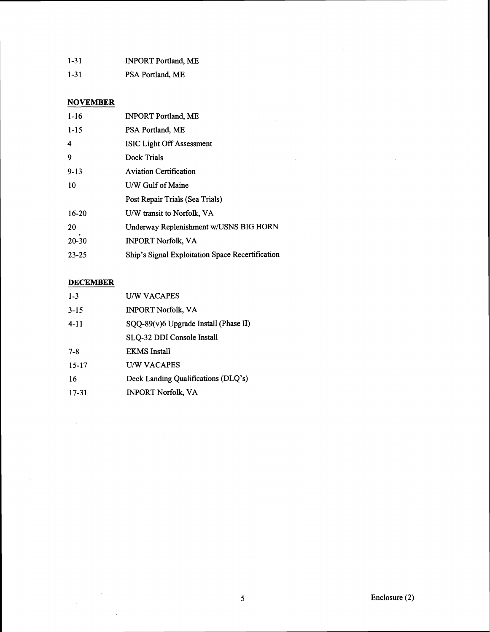| $1 - 31$ | <b>INPORT Portland, ME</b> |
|----------|----------------------------|
| $1 - 31$ | PSA Portland, ME           |

### **NOVEMBER**

| $1 - 16$  | <b>INPORT Portland, ME</b>                       |
|-----------|--------------------------------------------------|
| $1 - 15$  | PSA Portland, ME                                 |
| 4         | <b>ISIC Light Off Assessment</b>                 |
| 9         | Dock Trials                                      |
| $9 - 13$  | <b>Aviation Certification</b>                    |
| 10        | U/W Gulf of Maine                                |
|           | Post Repair Trials (Sea Trials)                  |
| $16 - 20$ | U/W transit to Norfolk, VA                       |
| 20        | Underway Replenishment w/USNS BIG HORN           |
| 20-30     | <b>INPORT Norfolk, VA</b>                        |
| $23 - 25$ | Ship's Signal Exploitation Space Recertification |

### **DECEMBER**

 $\bar{z}$ 

 $\sim 10$ 

 $\overline{\phantom{a}}$ 

| $1 - 3$   | <b>UW VACAPES</b>                     |
|-----------|---------------------------------------|
| $3 - 15$  | <b>INPORT Norfolk, VA</b>             |
| $4 - 11$  | SQQ-89(v)6 Upgrade Install (Phase II) |
|           | SLQ-32 DDI Console Install            |
| 7-8       | <b>EKMS</b> Install                   |
| $15 - 17$ | <b>U/W VACAPES</b>                    |
| 16        | Deck Landing Qualifications (DLQ's)   |
| 17-31     | <b>INPORT Norfolk, VA</b>             |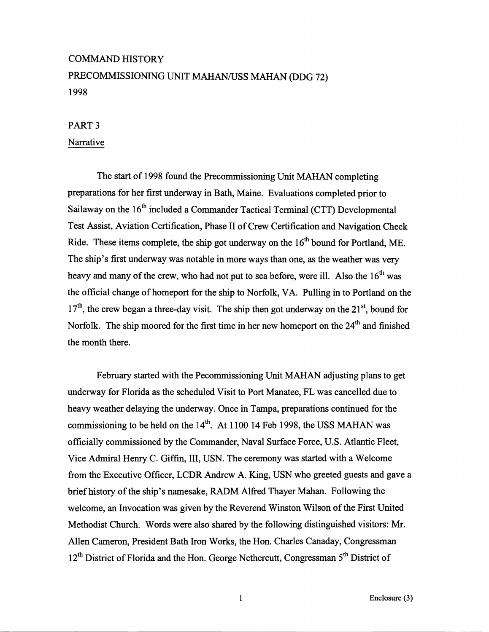# COMMAND HISTORY PRECOMMISSIONING UNIT MAHAN/USS MAHAN (DDG 72) 1998

#### PART **3**

#### Narrative

The start of 1998 found the Precommissioning Unit MAHAN completing preparations for her first underway in Bath, Maine. Evaluations completed prior to Sailaway on the 16<sup>th</sup> included a Commander Tactical Terminal (CTT) Developmental Test Assist, Aviation Certification, Phase I1 of Crew Certification and Navigation Check Ride. These items complete, the ship got underway on the  $16<sup>th</sup>$  bound for Portland, ME. The ship's first underway was notable in more ways than one, **as** the weather was very heavy and many of the crew, who had not put to sea before, were ill. Also the  $16<sup>th</sup>$  was the official change of homeport for the ship to Norfolk, VA. Pulling in to Portland on the  $17<sup>th</sup>$ , the crew began a three-day visit. The ship then got underway on the 21<sup>st</sup>, bound for Norfolk. The ship moored for the first time in her new homeport on the 24<sup>th</sup> and finished the month there.

February started with the Pecommissioning Unit MAHAN adjusting plans to get underway for Florida as the scheduled Visit to Port Manatee, FL was cancelled due to heavy weather delaying the underway. Once in Tampa, preparations continued for the commissioning to be held on the  $14<sup>th</sup>$ . At 1100 14 Feb 1998, the USS MAHAN was officially commissioned by the Commander, Naval Surface Force, U.S. Atlantic Fleet, Vice Admiral Henry C. Giffin, 111, USN. The ceremony was started with a Welcome from the Executive Officer, LCDR Andrew A. King, USN who greeted guests and gave a brief history of the ship's namesake, RADM Alfred Thayer Mahan. Following the welcome, an Invocation was given by the Reverend Winston Wilson of the First United Methodist Church. Words were also shared by the following distinguished visitors: Mr. Allen Cameron, President Bath Iron Works, the Hon. Charles Canaday, Congressman  $12<sup>th</sup>$  District of Florida and the Hon. George Nethercutt, Congressman  $5<sup>th</sup>$  District of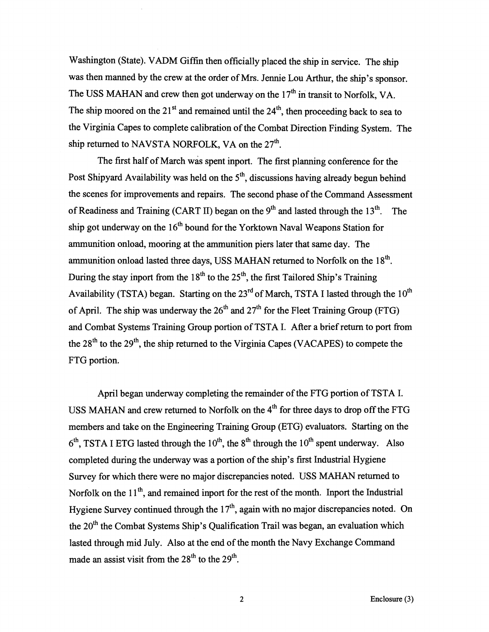Washington (State). VADM Giffin then officially placed the ship in service. The ship was then manned by the crew at the order of Mrs. Jennie Lou **Arthur,** the ship's sponsor. The USS MAHAN and crew then got underway on the  $17<sup>th</sup>$  in transit to Norfolk, VA. The ship moored on the  $21<sup>st</sup>$  and remained until the  $24<sup>th</sup>$ , then proceeding back to sea to the Virginia Capes to complete calibration of the Combat Direction Finding System. The ship returned to NAVSTA NORFOLK, VA on the  $27<sup>th</sup>$ .

The first half of March was spent inport. The first planning conference for the Post Shipyard Availability was held on the  $5<sup>th</sup>$ , discussions having already begun behind the scenes for improvements and repairs. The second phase of the Command Assessment of Readiness and Training (CART II) began on the  $9<sup>th</sup>$  and lasted through the 13<sup>th</sup>. The ship got underway on the  $16<sup>th</sup>$  bound for the Yorktown Naval Weapons Station for ammunition onload, mooring at the ammunition piers later that same day. The ammunition onload lasted three days, USS MAHAN returned to Norfolk on the  $18<sup>th</sup>$ . During the stay inport from the 18<sup>th</sup> to the 25<sup>th</sup>, the first Tailored Ship's Training Availability (TSTA) began. Starting on the  $23<sup>rd</sup>$  of March, TSTA I lasted through the  $10<sup>th</sup>$ of April. The ship was underway the  $26<sup>th</sup>$  and  $27<sup>th</sup>$  for the Fleet Training Group (FTG) and Combat Systems Training Group portion of TSTA I. After a brief return to port from the  $28<sup>th</sup>$  to the  $29<sup>th</sup>$ , the ship returned to the Virginia Capes (VACAPES) to compete the FTG portion.

April began underway completing the remainder of the FTG portion of TSTA I. USS MAHAN and crew returned to Norfolk on the 4<sup>th</sup> for three days to drop off the FTG members and take on the Engineering Training Group (ETG) evaluators. Starting on the  $6<sup>th</sup>$ , TSTA I ETG lasted through the 10<sup>th</sup>, the 8<sup>th</sup> through the 10<sup>th</sup> spent underway. Also completed during the underway was a portion of the ship's first Industrial Hygiene Survey for which there were no major discrepancies noted. USS MAHAN returned to Norfolk on the  $11<sup>th</sup>$ , and remained inport for the rest of the month. Inport the Industrial Hygiene Survey continued through the  $17<sup>th</sup>$ , again with no major discrepancies noted. On the 20<sup>th</sup> the Combat Systems Ship's Qualification Trail was began, an evaluation which lasted through mid July. Also at the end of the month the Navy Exchange Command made an assist visit from the  $28<sup>th</sup>$  to the  $29<sup>th</sup>$ .

 $\mathbf 2$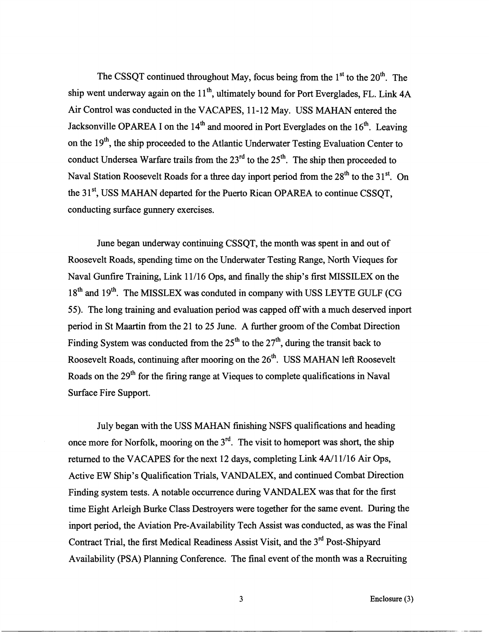The CSSQT continued throughout May, focus being from the  $1<sup>st</sup>$  to the  $20<sup>th</sup>$ . The ship went underway again on the  $11<sup>th</sup>$ , ultimately bound for Port Everglades, FL. Link 4A Air Control was conducted in the VACAPES, 11-12 May. USS MAHAN entered the Jacksonville OPAREA I on the  $14<sup>th</sup>$  and moored in Port Everglades on the  $16<sup>th</sup>$ . Leaving on the  $19<sup>th</sup>$ , the ship proceeded to the Atlantic Underwater Testing Evaluation Center to conduct Undersea Warfare trails from the  $23<sup>rd</sup>$  to the  $25<sup>th</sup>$ . The ship then proceeded to Naval Station Roosevelt Roads for a three day inport period from the  $28<sup>th</sup>$  to the  $31<sup>st</sup>$ . On the 31<sup>st</sup>, USS MAHAN departed for the Puerto Rican OPAREA to continue CSSOT, conducting surface gunnery exercises.

June began underway continuing CSSQT, the month was spent in and out of Roosevelt Roads, spending time on the Underwater Testing Range, North Vieques for Naval Gunfire Training, Link 11/16 Ops, and finally the ship's first MISSILEX on the  $18<sup>th</sup>$  and  $19<sup>th</sup>$ . The MISSLEX was conduted in company with USS LEYTE GULF (CG) 55). The long training and evaluation period was capped off with a much deserved inport period in St Maartin from the 21 to 25 June. A further groom of the Combat Direction Finding System was conducted from the  $25<sup>th</sup>$  to the  $27<sup>th</sup>$ , during the transit back to Roosevelt Roads, continuing after mooring on the  $26<sup>th</sup>$ . USS MAHAN left Roosevelt Roads on the 29<sup>th</sup> for the firing range at Vieques to complete qualifications in Naval Surface Fire Support.

July began with the USS MAHAN finishing NSFS qualifications and heading once more for Norfolk, mooring on the  $3<sup>rd</sup>$ . The visit to homeport was short, the ship returned to the VACAPES for the next 12 days, completing Link 4A/11/16 Air Ops, Active EW Ship's Qualification Trials, VANDALEX, and continued Combat Direction Finding system tests. **A** notable occurrence during VANDALEX was that for the first time Eight Arleigh Burke Class Destroyers were together for the same event. During the inport period, the Aviation Pre-Availability Tech Assist was conducted, as was the Final Contract Trial, the first Medical Readiness Assist Visit, and the 3<sup>rd</sup> Post-Shipyard Availability (PSA) Planning Conference. The final event of the month was a Recruiting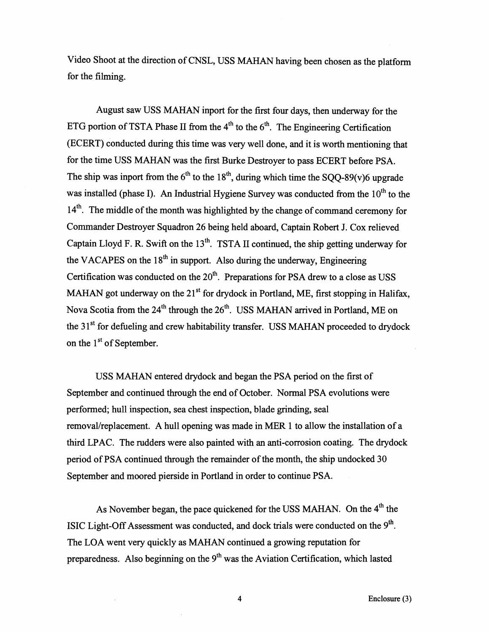Video Shoot at the direction of CNSL, USS MAHAN having been chosen as the platform for the filming.

August saw USS MAHAN inport for the first four days, then underway for the ETG portion of TSTA Phase II from the  $4<sup>th</sup>$  to the  $6<sup>th</sup>$ . The Engineering Certification (ECERT) conducted during this time was very well done, and it is worth mentioning that for the time USS MAHAN was the first Burke Destroyer to pass ECERT before PSA. The ship was inport from the  $6<sup>th</sup>$  to the 18<sup>th</sup>, during which time the SOO-89(v)6 upgrade was installed (phase I). An Industrial Hygiene Survey was conducted from the 10<sup>th</sup> to the 14<sup>th</sup>. The middle of the month was highlighted by the change of command ceremony for Commander Destroyer Squadron 26 being held aboard, Captain Robert J. Cox relieved Captain Lloyd F. R. Swift on the 13<sup>th</sup>. TSTA II continued, the ship getting underway for the VACAPES on the  $18<sup>th</sup>$  in support. Also during the underway, Engineering Certification was conducted on the  $20<sup>th</sup>$ . Preparations for PSA drew to a close as USS MAHAN got underway on the  $21<sup>st</sup>$  for drydock in Portland, ME, first stopping in Halifax, Nova Scotia from the  $24<sup>th</sup>$  through the  $26<sup>th</sup>$ . USS MAHAN arrived in Portland, ME on the 31<sup>st</sup> for defueling and crew habitability transfer. USS MAHAN proceeded to drydock on the  $1<sup>st</sup>$  of September.

USS MAHAN entered drydock and began the PSA period on the first of September and continued through the end of October. Normal PSA evolutions were performed; hull inspection, sea chest inspection, blade grinding, seal removal/replacement. A hull opening was made in MER 1 to allow the installation of a thrd LPAC. The rudders were also painted with an anti-corrosion coating. The drydock period of PSA continued through the remainder of the month, the ship undocked 30 September and moored pierside in Portland in order to continue PSA.

As November began, the pace quickened for the USS MAHAN. On the 4<sup>th</sup> the ISIC Light-Off Assessment was conducted, and dock trials were conducted on the **9th.**  The LOA went very quickly as MAHAN continued a growing reputation for preparedness. Also beginning on the  $9<sup>th</sup>$  was the Aviation Certification, which lasted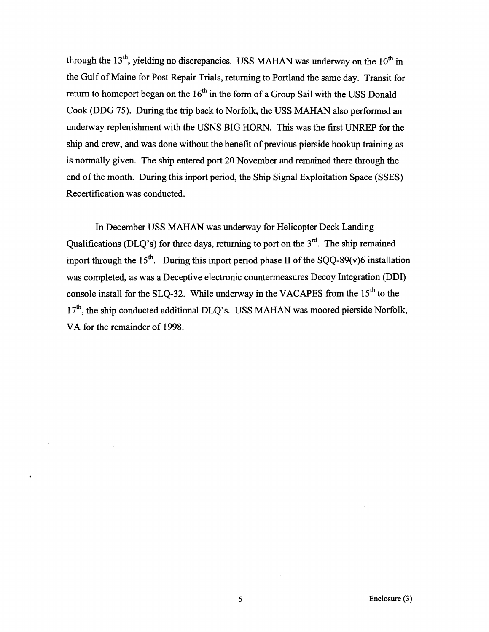through the  $13<sup>th</sup>$ , yielding no discrepancies. USS MAHAN was underway on the  $10<sup>th</sup>$  in the Gulf of Maine for Post Repair Trials, returning to Portland the same day. Transit for return to homeport began on the  $16<sup>th</sup>$  in the form of a Group Sail with the USS Donald Cook (DDG 75). During the trip back to Norfolk, the USS **MAHAN** also performed **an**  underway replenishment with the USNS BIG HORN. This was the first UNREP for the ship and crew, and was done without the benefit of previous pierside hookup training as is normally given. The ship entered port 20 November and remained there through the end of the month. During this inport period, the Ship Signal Exploitation Space (SSES) Recertification was conducted.

In December USS **MAHAN** was underway for Helicopter Deck Landing Qualifications (DLQ's) for three days, returning to port on the  $3<sup>rd</sup>$ . The ship remained inport through the 15<sup>th</sup>. During this inport period phase II of the SQQ-89(v)6 installation was completed, as was a Deceptive electronic countermeasures Decoy Integration (DDI) console install for the SLQ-32. While underway in the VACAPES from the  $15<sup>th</sup>$  to the 17<sup>th</sup>, the ship conducted additional DLO's. USS MAHAN was moored pierside Norfolk, VA for the remainder of 1998.